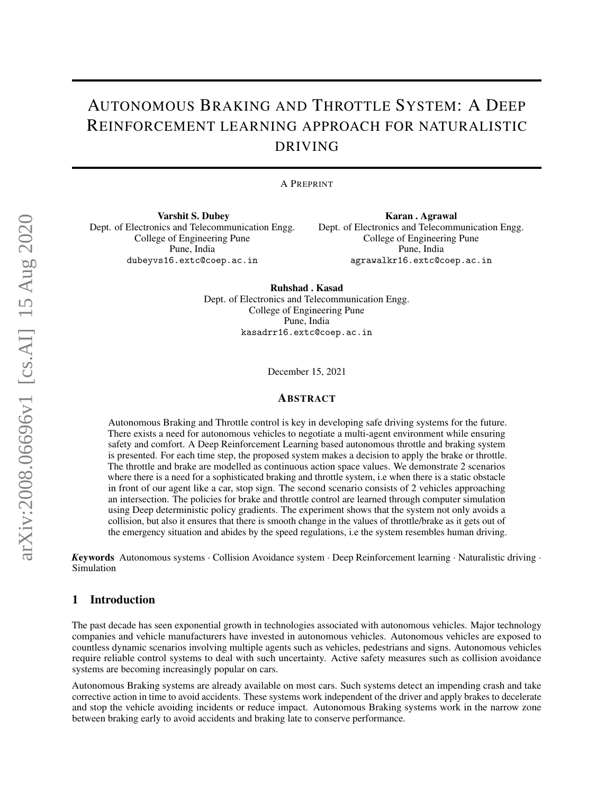# AUTONOMOUS BRAKING AND THROTTLE SYSTEM: A DEEP REINFORCEMENT LEARNING APPROACH FOR NATURALISTIC DRIVING

#### A PREPRINT

Varshit S. Dubey Dept. of Electronics and Telecommunication Engg. College of Engineering Pune Pune, India dubeyvs16.extc@coep.ac.in

Karan . Agrawal Dept. of Electronics and Telecommunication Engg. College of Engineering Pune Pune, India agrawalkr16.extc@coep.ac.in

Ruhshad . Kasad Dept. of Electronics and Telecommunication Engg. College of Engineering Pune Pune, India kasadrr16.extc@coep.ac.in

December 15, 2021

#### ABSTRACT

Autonomous Braking and Throttle control is key in developing safe driving systems for the future. There exists a need for autonomous vehicles to negotiate a multi-agent environment while ensuring safety and comfort. A Deep Reinforcement Learning based autonomous throttle and braking system is presented. For each time step, the proposed system makes a decision to apply the brake or throttle. The throttle and brake are modelled as continuous action space values. We demonstrate 2 scenarios where there is a need for a sophisticated braking and throttle system, i.e when there is a static obstacle in front of our agent like a car, stop sign. The second scenario consists of 2 vehicles approaching an intersection. The policies for brake and throttle control are learned through computer simulation using Deep deterministic policy gradients. The experiment shows that the system not only avoids a collision, but also it ensures that there is smooth change in the values of throttle/brake as it gets out of the emergency situation and abides by the speed regulations, i.e the system resembles human driving.

*K*eywords Autonomous systems · Collision Avoidance system · Deep Reinforcement learning · Naturalistic driving · Simulation

## 1 Introduction

The past decade has seen exponential growth in technologies associated with autonomous vehicles. Major technology companies and vehicle manufacturers have invested in autonomous vehicles. Autonomous vehicles are exposed to countless dynamic scenarios involving multiple agents such as vehicles, pedestrians and signs. Autonomous vehicles require reliable control systems to deal with such uncertainty. Active safety measures such as collision avoidance systems are becoming increasingly popular on cars.

Autonomous Braking systems are already available on most cars. Such systems detect an impending crash and take corrective action in time to avoid accidents. These systems work independent of the driver and apply brakes to decelerate and stop the vehicle avoiding incidents or reduce impact. Autonomous Braking systems work in the narrow zone between braking early to avoid accidents and braking late to conserve performance.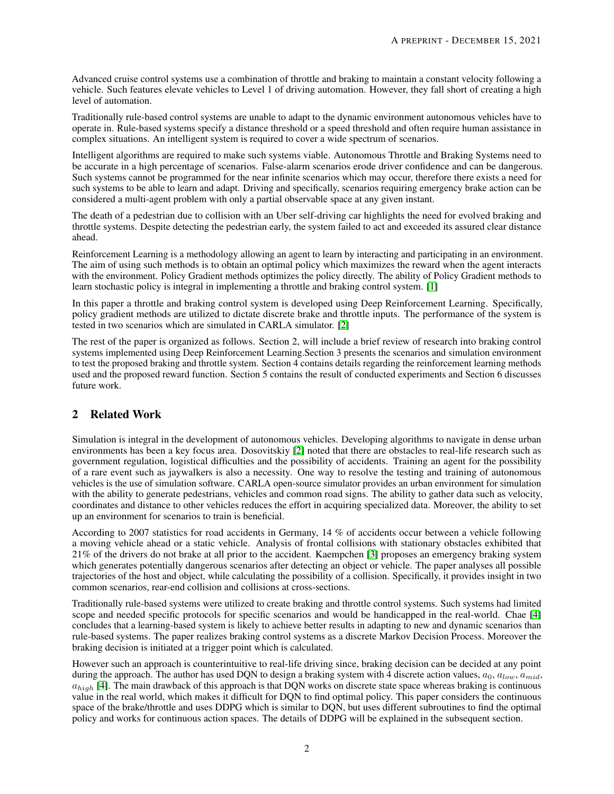Advanced cruise control systems use a combination of throttle and braking to maintain a constant velocity following a vehicle. Such features elevate vehicles to Level 1 of driving automation. However, they fall short of creating a high level of automation.

Traditionally rule-based control systems are unable to adapt to the dynamic environment autonomous vehicles have to operate in. Rule-based systems specify a distance threshold or a speed threshold and often require human assistance in complex situations. An intelligent system is required to cover a wide spectrum of scenarios.

Intelligent algorithms are required to make such systems viable. Autonomous Throttle and Braking Systems need to be accurate in a high percentage of scenarios. False-alarm scenarios erode driver confidence and can be dangerous. Such systems cannot be programmed for the near infinite scenarios which may occur, therefore there exists a need for such systems to be able to learn and adapt. Driving and specifically, scenarios requiring emergency brake action can be considered a multi-agent problem with only a partial observable space at any given instant.

The death of a pedestrian due to collision with an Uber self-driving car highlights the need for evolved braking and throttle systems. Despite detecting the pedestrian early, the system failed to act and exceeded its assured clear distance ahead.

Reinforcement Learning is a methodology allowing an agent to learn by interacting and participating in an environment. The aim of using such methods is to obtain an optimal policy which maximizes the reward when the agent interacts with the environment. Policy Gradient methods optimizes the policy directly. The ability of Policy Gradient methods to learn stochastic policy is integral in implementing a throttle and braking control system. [\[1\]](#page-8-0)

In this paper a throttle and braking control system is developed using Deep Reinforcement Learning. Specifically, policy gradient methods are utilized to dictate discrete brake and throttle inputs. The performance of the system is tested in two scenarios which are simulated in CARLA simulator. [\[2\]](#page-8-1)

The rest of the paper is organized as follows. Section 2, will include a brief review of research into braking control systems implemented using Deep Reinforcement Learning.Section 3 presents the scenarios and simulation environment to test the proposed braking and throttle system. Section 4 contains details regarding the reinforcement learning methods used and the proposed reward function. Section 5 contains the result of conducted experiments and Section 6 discusses future work.

# 2 Related Work

Simulation is integral in the development of autonomous vehicles. Developing algorithms to navigate in dense urban environments has been a key focus area. Dosovitskiy [\[2\]](#page-8-1) noted that there are obstacles to real-life research such as government regulation, logistical difficulties and the possibility of accidents. Training an agent for the possibility of a rare event such as jaywalkers is also a necessity. One way to resolve the testing and training of autonomous vehicles is the use of simulation software. CARLA open-source simulator provides an urban environment for simulation with the ability to generate pedestrians, vehicles and common road signs. The ability to gather data such as velocity, coordinates and distance to other vehicles reduces the effort in acquiring specialized data. Moreover, the ability to set up an environment for scenarios to train is beneficial.

According to 2007 statistics for road accidents in Germany, 14 % of accidents occur between a vehicle following a moving vehicle ahead or a static vehicle. Analysis of frontal collisions with stationary obstacles exhibited that 21% of the drivers do not brake at all prior to the accident. Kaempchen [\[3\]](#page-9-0) proposes an emergency braking system which generates potentially dangerous scenarios after detecting an object or vehicle. The paper analyses all possible trajectories of the host and object, while calculating the possibility of a collision. Specifically, it provides insight in two common scenarios, rear-end collision and collisions at cross-sections.

Traditionally rule-based systems were utilized to create braking and throttle control systems. Such systems had limited scope and needed specific protocols for specific scenarios and would be handicapped in the real-world. Chae [\[4\]](#page-9-1) concludes that a learning-based system is likely to achieve better results in adapting to new and dynamic scenarios than rule-based systems. The paper realizes braking control systems as a discrete Markov Decision Process. Moreover the braking decision is initiated at a trigger point which is calculated.

However such an approach is counterintuitive to real-life driving since, braking decision can be decided at any point during the approach. The author has used DQN to design a braking system with 4 discrete action values,  $a_0$ ,  $a_{low}$ ,  $a_{mid}$ ,  $a_{high}$  [\[4\]](#page-9-1). The main drawback of this approach is that DQN works on discrete state space whereas braking is continuous value in the real world, which makes it difficult for DQN to find optimal policy. This paper considers the continuous space of the brake/throttle and uses DDPG which is similar to DQN, but uses different subroutines to find the optimal policy and works for continuous action spaces. The details of DDPG will be explained in the subsequent section.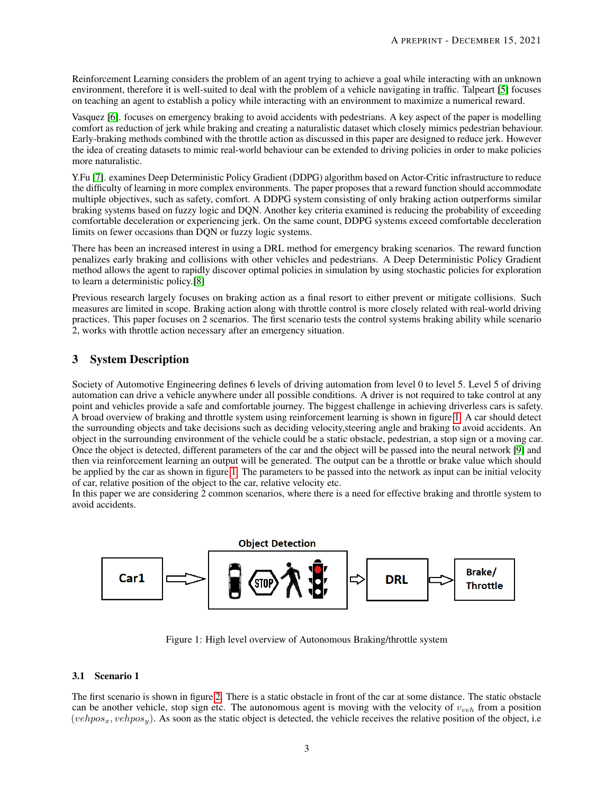Reinforcement Learning considers the problem of an agent trying to achieve a goal while interacting with an unknown environment, therefore it is well-suited to deal with the problem of a vehicle navigating in traffic. Talpeart [\[5\]](#page-9-2) focuses on teaching an agent to establish a policy while interacting with an environment to maximize a numerical reward.

Vasquez [\[6\]](#page-9-3). focuses on emergency braking to avoid accidents with pedestrians. A key aspect of the paper is modelling comfort as reduction of jerk while braking and creating a naturalistic dataset which closely mimics pedestrian behaviour. Early-braking methods combined with the throttle action as discussed in this paper are designed to reduce jerk. However the idea of creating datasets to mimic real-world behaviour can be extended to driving policies in order to make policies more naturalistic.

Y.Fu [\[7\]](#page-9-4). examines Deep Deterministic Policy Gradient (DDPG) algorithm based on Actor-Critic infrastructure to reduce the difficulty of learning in more complex environments. The paper proposes that a reward function should accommodate multiple objectives, such as safety, comfort. A DDPG system consisting of only braking action outperforms similar braking systems based on fuzzy logic and DQN. Another key criteria examined is reducing the probability of exceeding comfortable deceleration or experiencing jerk. On the same count, DDPG systems exceed comfortable deceleration limits on fewer occasions than DQN or fuzzy logic systems.

There has been an increased interest in using a DRL method for emergency braking scenarios. The reward function penalizes early braking and collisions with other vehicles and pedestrians. A Deep Deterministic Policy Gradient method allows the agent to rapidly discover optimal policies in simulation by using stochastic policies for exploration to learn a deterministic policy.[\[8\]](#page-9-5)

Previous research largely focuses on braking action as a final resort to either prevent or mitigate collisions. Such measures are limited in scope. Braking action along with throttle control is more closely related with real-world driving practices. This paper focuses on 2 scenarios. The first scenario tests the control systems braking ability while scenario 2, works with throttle action necessary after an emergency situation.

# 3 System Description

Society of Automotive Engineering defines 6 levels of driving automation from level 0 to level 5. Level 5 of driving automation can drive a vehicle anywhere under all possible conditions. A driver is not required to take control at any point and vehicles provide a safe and comfortable journey. The biggest challenge in achieving driverless cars is safety. A broad overview of braking and throttle system using reinforcement learning is shown in figure [1.](#page-2-0) A car should detect the surrounding objects and take decisions such as deciding velocity,steering angle and braking to avoid accidents. An object in the surrounding environment of the vehicle could be a static obstacle, pedestrian, a stop sign or a moving car. Once the object is detected, different parameters of the car and the object will be passed into the neural network [\[9\]](#page-9-6) and then via reinforcement learning an output will be generated. The output can be a throttle or brake value which should be applied by the car as shown in figure [1.](#page-2-0) The parameters to be passed into the network as input can be initial velocity of car, relative position of the object to the car, relative velocity etc.

In this paper we are considering 2 common scenarios, where there is a need for effective braking and throttle system to avoid accidents.

<span id="page-2-0"></span>

Figure 1: High level overview of Autonomous Braking/throttle system

# 3.1 Scenario 1

The first scenario is shown in figure [2.](#page-3-0) There is a static obstacle in front of the car at some distance. The static obstacle can be another vehicle, stop sign etc. The autonomous agent is moving with the velocity of  $v_{veh}$  from a position  $(vehpos_x, vehpos_y)$ . As soon as the static object is detected, the vehicle receives the relative position of the object, i.e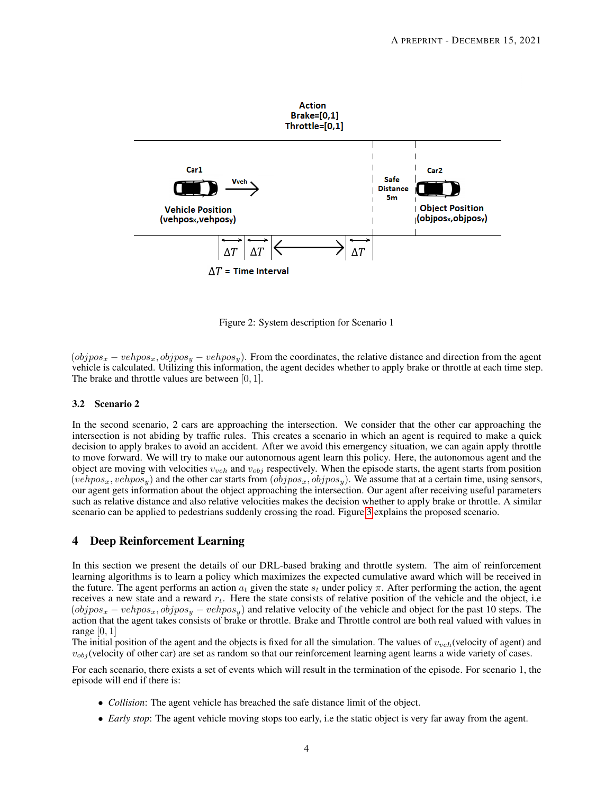<span id="page-3-0"></span>

Figure 2: System description for Scenario 1

 $(objpos_x - vehpos_x, objpos_y - vehpos_y)$ . From the coordinates, the relative distance and direction from the agent vehicle is calculated. Utilizing this information, the agent decides whether to apply brake or throttle at each time step. The brake and throttle values are between  $[0, 1]$ .

#### 3.2 Scenario 2

In the second scenario, 2 cars are approaching the intersection. We consider that the other car approaching the intersection is not abiding by traffic rules. This creates a scenario in which an agent is required to make a quick decision to apply brakes to avoid an accident. After we avoid this emergency situation, we can again apply throttle to move forward. We will try to make our autonomous agent learn this policy. Here, the autonomous agent and the object are moving with velocities  $v_{veh}$  and  $v_{obj}$  respectively. When the episode starts, the agent starts from position  $(vehpos_x, vehpos_y)$  and the other car starts from  $(objpos_x, objpos_y)$ . We assume that at a certain time, using sensors, our agent gets information about the object approaching the intersection. Our agent after receiving useful parameters such as relative distance and also relative velocities makes the decision whether to apply brake or throttle. A similar scenario can be applied to pedestrians suddenly crossing the road. Figure [3](#page-4-0) explains the proposed scenario.

# 4 Deep Reinforcement Learning

In this section we present the details of our DRL-based braking and throttle system. The aim of reinforcement learning algorithms is to learn a policy which maximizes the expected cumulative award which will be received in the future. The agent performs an action  $a_t$  given the state  $s_t$  under policy  $\pi$ . After performing the action, the agent receives a new state and a reward  $r_t$ . Here the state consists of relative position of the vehicle and the object, i.e  $(objpos_x - vehpos_x, objpos_y - vehpos_y)$  and relative velocity of the vehicle and object for the past 10 steps. The action that the agent takes consists of brake or throttle. Brake and Throttle control are both real valued with values in range  $[0, 1]$ 

The initial position of the agent and the objects is fixed for all the simulation. The values of  $v_{veh}$  (velocity of agent) and  $v_{obj}$  (velocity of other car) are set as random so that our reinforcement learning agent learns a wide variety of cases.

For each scenario, there exists a set of events which will result in the termination of the episode. For scenario 1, the episode will end if there is:

- *Collision*: The agent vehicle has breached the safe distance limit of the object.
- *Early stop*: The agent vehicle moving stops too early, i.e the static object is very far away from the agent.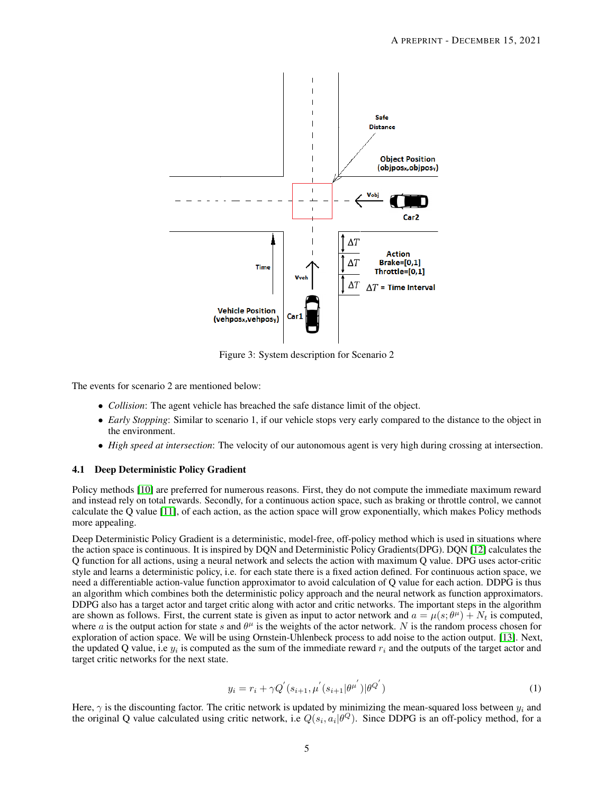<span id="page-4-0"></span>

Figure 3: System description for Scenario 2

The events for scenario 2 are mentioned below:

- *Collision*: The agent vehicle has breached the safe distance limit of the object.
- *Early Stopping*: Similar to scenario 1, if our vehicle stops very early compared to the distance to the object in the environment.
- *High speed at intersection*: The velocity of our autonomous agent is very high during crossing at intersection.

#### 4.1 Deep Deterministic Policy Gradient

Policy methods [\[10\]](#page-9-7) are preferred for numerous reasons. First, they do not compute the immediate maximum reward and instead rely on total rewards. Secondly, for a continuous action space, such as braking or throttle control, we cannot calculate the Q value [\[11\]](#page-9-8), of each action, as the action space will grow exponentially, which makes Policy methods more appealing.

Deep Deterministic Policy Gradient is a deterministic, model-free, off-policy method which is used in situations where the action space is continuous. It is inspired by DQN and Deterministic Policy Gradients(DPG). DQN [\[12\]](#page-9-9) calculates the Q function for all actions, using a neural network and selects the action with maximum Q value. DPG uses actor-critic style and learns a deterministic policy, i.e. for each state there is a fixed action defined. For continuous action space, we need a differentiable action-value function approximator to avoid calculation of Q value for each action. DDPG is thus an algorithm which combines both the deterministic policy approach and the neural network as function approximators. DDPG also has a target actor and target critic along with actor and critic networks. The important steps in the algorithm are shown as follows. First, the current state is given as input to actor network and  $a = \mu(s; \theta^{\mu}) + N_t$  is computed, where a is the output action for state s and  $\theta^{\mu}$  is the weights of the actor network. N is the random process chosen for exploration of action space. We will be using Ornstein-Uhlenbeck process to add noise to the action output. [\[13\]](#page-9-10). Next, the updated Q value, i.e  $y_i$  is computed as the sum of the immediate reward  $r_i$  and the outputs of the target actor and target critic networks for the next state.

$$
y_i = r_i + \gamma Q^{'}(s_{i+1}, \mu^{'}(s_{i+1}|\theta^{\mu^{'}})|\theta^{Q^{'}})
$$
\n(1)

Here,  $\gamma$  is the discounting factor. The critic network is updated by minimizing the mean-squared loss between  $y_i$  and the original Q value calculated using critic network, i.e  $Q(s_i, a_i | \theta^Q)$ . Since DDPG is an off-policy method, for a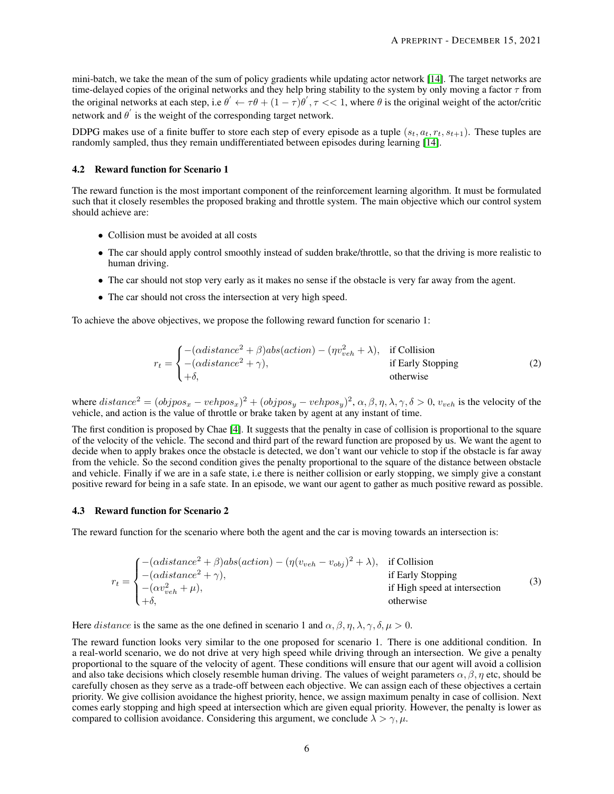mini-batch, we take the mean of the sum of policy gradients while updating actor network [\[14\]](#page-9-11). The target networks are time-delayed copies of the original networks and they help bring stability to the system by only moving a factor  $\tau$  from the original networks at each step, i.e  $\theta' \leftarrow \tau \theta + (1 - \tau) \theta', \tau \ll 1$ , where  $\theta$  is the original weight of the actor/critic network and  $\theta'$  is the weight of the corresponding target network.

DDPG makes use of a finite buffer to store each step of every episode as a tuple  $(s_t, a_t, r_t, s_{t+1})$ . These tuples are randomly sampled, thus they remain undifferentiated between episodes during learning [\[14\]](#page-9-11).

#### 4.2 Reward function for Scenario 1

The reward function is the most important component of the reinforcement learning algorithm. It must be formulated such that it closely resembles the proposed braking and throttle system. The main objective which our control system should achieve are:

- Collision must be avoided at all costs
- The car should apply control smoothly instead of sudden brake/throttle, so that the driving is more realistic to human driving.
- The car should not stop very early as it makes no sense if the obstacle is very far away from the agent.
- The car should not cross the intersection at very high speed.

To achieve the above objectives, we propose the following reward function for scenario 1:

$$
r_t = \begin{cases}\n-(\alpha distance^2 + \beta)abs(action) - (\eta v_{veh}^2 + \lambda), & \text{if Collision} \\
-(\alpha distance^2 + \gamma), & \text{if Early Stopping} \\
+\delta, & \text{otherwise}\n\end{cases}
$$
\n(2)

where  $distance^2 = (objpos_x - vehpos_x)^2 + (objpos_y - vehpos_y)^2, \alpha, \beta, \eta, \lambda, \gamma, \delta > 0, v_{veh}$  is the velocity of the vehicle, and action is the value of throttle or brake taken by agent at any instant of time.

The first condition is proposed by Chae [\[4\]](#page-9-1). It suggests that the penalty in case of collision is proportional to the square of the velocity of the vehicle. The second and third part of the reward function are proposed by us. We want the agent to decide when to apply brakes once the obstacle is detected, we don't want our vehicle to stop if the obstacle is far away from the vehicle. So the second condition gives the penalty proportional to the square of the distance between obstacle and vehicle. Finally if we are in a safe state, i.e there is neither collision or early stopping, we simply give a constant positive reward for being in a safe state. In an episode, we want our agent to gather as much positive reward as possible.

#### 4.3 Reward function for Scenario 2

The reward function for the scenario where both the agent and the car is moving towards an intersection is:

|  | $\int -(\alpha distance^2 + \beta)abs(\alphaction) - (\eta(v_{veh} - v_{obj})^2 + \lambda), \text{ if Collision}$ |                               |     |  |
|--|-------------------------------------------------------------------------------------------------------------------|-------------------------------|-----|--|
|  |                                                                                                                   | if Early Stopping             | (3) |  |
|  | $r_t = \begin{cases} -(\alpha distance^2 + \gamma), \\ -(\alpha v_{veh}^2 + \mu), \end{cases}$                    | if High speed at intersection |     |  |
|  | $1+\delta$ .                                                                                                      | otherwise                     |     |  |

Here *distance* is the same as the one defined in scenario 1 and  $\alpha$ ,  $\beta$ ,  $\eta$ ,  $\lambda$ ,  $\gamma$ ,  $\delta$ ,  $\mu > 0$ .

The reward function looks very similar to the one proposed for scenario 1. There is one additional condition. In a real-world scenario, we do not drive at very high speed while driving through an intersection. We give a penalty proportional to the square of the velocity of agent. These conditions will ensure that our agent will avoid a collision and also take decisions which closely resemble human driving. The values of weight parameters  $\alpha, \beta, \eta$  etc, should be carefully chosen as they serve as a trade-off between each objective. We can assign each of these objectives a certain priority. We give collision avoidance the highest priority, hence, we assign maximum penalty in case of collision. Next comes early stopping and high speed at intersection which are given equal priority. However, the penalty is lower as compared to collision avoidance. Considering this argument, we conclude  $\lambda > \gamma, \mu$ .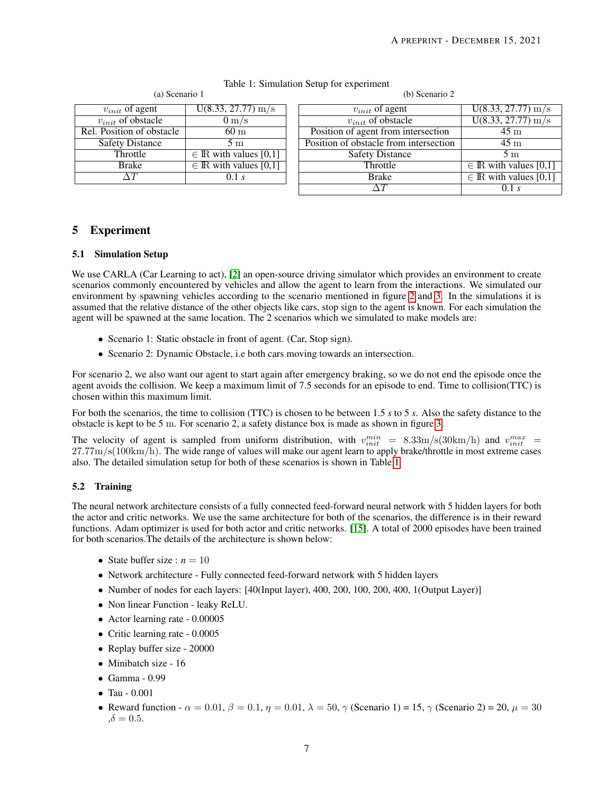<span id="page-6-0"></span>

| (a) Scenario 1            |                                    |  | (b) Scenario 2                         |                            |  |
|---------------------------|------------------------------------|--|----------------------------------------|----------------------------|--|
| $v_{init}$ of agent       | $U(8.33, 27.77)$ m/s               |  | $v_{init}$ of agent                    | $U(8.33, 27.77)$ m/s       |  |
| $v_{init}$ of obstacle    | $0 \text{ m/s}$                    |  | $v_{init}$ of obstacle                 | $U(8.33, 27.77)$ m/s       |  |
| Rel. Position of obstacle | 60 <sub>m</sub>                    |  | Position of agent from intersection    | 45 <sub>m</sub>            |  |
| <b>Safety Distance</b>    | 5 <sub>m</sub>                     |  | Position of obstacle from intersection | 45 <sub>m</sub>            |  |
| Throttle                  | $\in \mathbb{R}$ with values [0,1] |  | <b>Safety Distance</b>                 | 5 <sub>m</sub>             |  |
| <b>Brake</b>              | $\in \mathbb{R}$ with values [0,1] |  | Throttle                               | $\in$ IR with values [0,1] |  |
| $\Delta T$                | 0.1 s                              |  | Brake                                  | $\in$ IR with values [0,1] |  |
|                           |                                    |  | $\wedge T$                             | 0.1 s                      |  |

## Table 1: Simulation Setup for experiment

# 5 Experiment

## 5.1 Simulation Setup

We use CARLA (Car Learning to act), [\[2\]](#page-8-1) an open-source driving simulator which provides an environment to create scenarios commonly encountered by vehicles and allow the agent to learn from the interactions. We simulated our environment by spawning vehicles according to the scenario mentioned in figure [2](#page-3-0) and [3.](#page-4-0) In the simulations it is assumed that the relative distance of the other objects like cars, stop sign to the agent is known. For each simulation the agent will be spawned at the same location. The 2 scenarios which we simulated to make models are:

- Scenario 1: Static obstacle in front of agent. (Car, Stop sign).
- Scenario 2: Dynamic Obstacle, i.e both cars moving towards an intersection.

For scenario 2, we also want our agent to start again after emergency braking, so we do not end the episode once the agent avoids the collision. We keep a maximum limit of 7.5 seconds for an episode to end. Time to collision(TTC) is chosen within this maximum limit.

For both the scenarios, the time to collision (TTC) is chosen to be between 1.5 *s* to 5 *s*. Also the safety distance to the obstacle is kept to be 5 m. For scenario 2, a safety distance box is made as shown in figure [3.](#page-4-0)

The velocity of agent is sampled from uniform distribution, with  $v_{init}^{min}$  = 8.33m/s(30km/h) and  $v_{init}^{max}$  =  $27.77 \text{m/s}$ (100km/h). The wide range of values will make our agent learn to apply brake/throttle in most extreme cases also. The detailed simulation setup for both of these scenarios is shown in Table [1](#page-6-0)

#### 5.2 Training

The neural network architecture consists of a fully connected feed-forward neural network with 5 hidden layers for both the actor and critic networks. We use the same architecture for both of the scenarios, the difference is in their reward functions. Adam optimizer is used for both actor and critic networks. [\[15\]](#page-9-12). A total of 2000 episodes have been trained for both scenarios.The details of the architecture is shown below:

- State buffer size :  $n = 10$
- Network architecture Fully connected feed-forward network with 5 hidden layers
- Number of nodes for each layers: [40(Input layer), 400, 200, 100, 200, 400, 1(Output Layer)]
- Non linear Function leaky ReLU.
- Actor learning rate 0.00005
- Critic learning rate 0.0005
- Replay buffer size 20000
- Minibatch size 16
- Gamma 0.99
- Tau 0.001
- Reward function  $\alpha = 0.01$ ,  $\beta = 0.1$ ,  $\eta = 0.01$ ,  $\lambda = 50$ ,  $\gamma$  (Scenario 1) = 15,  $\gamma$  (Scenario 2) = 20,  $\mu = 30$  $,\delta = 0.5.$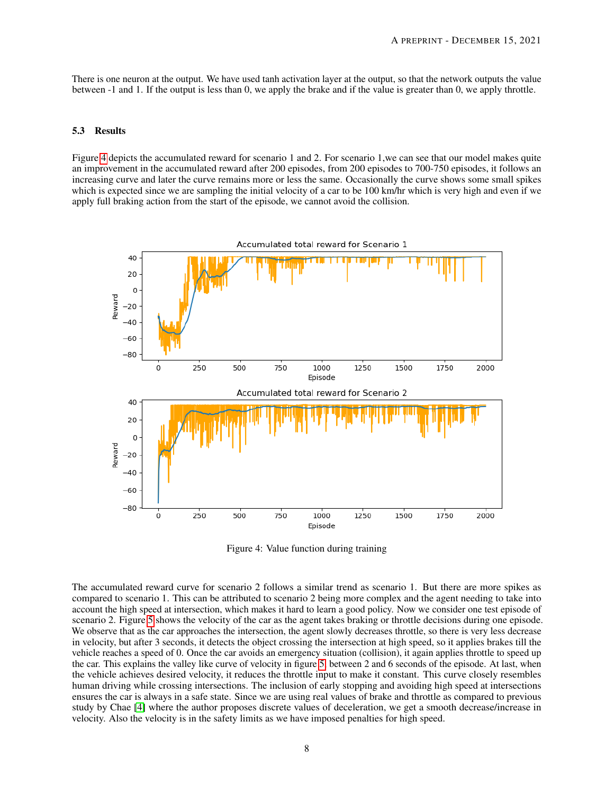There is one neuron at the output. We have used tanh activation layer at the output, so that the network outputs the value between -1 and 1. If the output is less than 0, we apply the brake and if the value is greater than 0, we apply throttle.

#### 5.3 Results

Figure [4](#page-7-0) depicts the accumulated reward for scenario 1 and 2. For scenario 1,we can see that our model makes quite an improvement in the accumulated reward after 200 episodes, from 200 episodes to 700-750 episodes, it follows an increasing curve and later the curve remains more or less the same. Occasionally the curve shows some small spikes which is expected since we are sampling the initial velocity of a car to be 100 km/hr which is very high and even if we apply full braking action from the start of the episode, we cannot avoid the collision.

<span id="page-7-0"></span>

Figure 4: Value function during training

The accumulated reward curve for scenario 2 follows a similar trend as scenario 1. But there are more spikes as compared to scenario 1. This can be attributed to scenario 2 being more complex and the agent needing to take into account the high speed at intersection, which makes it hard to learn a good policy. Now we consider one test episode of scenario 2. Figure [5](#page-8-2) shows the velocity of the car as the agent takes braking or throttle decisions during one episode. We observe that as the car approaches the intersection, the agent slowly decreases throttle, so there is very less decrease in velocity, but after 3 seconds, it detects the object crossing the intersection at high speed, so it applies brakes till the vehicle reaches a speed of 0. Once the car avoids an emergency situation (collision), it again applies throttle to speed up the car. This explains the valley like curve of velocity in figure [5,](#page-8-2) between 2 and 6 seconds of the episode. At last, when the vehicle achieves desired velocity, it reduces the throttle input to make it constant. This curve closely resembles human driving while crossing intersections. The inclusion of early stopping and avoiding high speed at intersections ensures the car is always in a safe state. Since we are using real values of brake and throttle as compared to previous study by Chae [\[4\]](#page-9-1) where the author proposes discrete values of deceleration, we get a smooth decrease/increase in velocity. Also the velocity is in the safety limits as we have imposed penalties for high speed.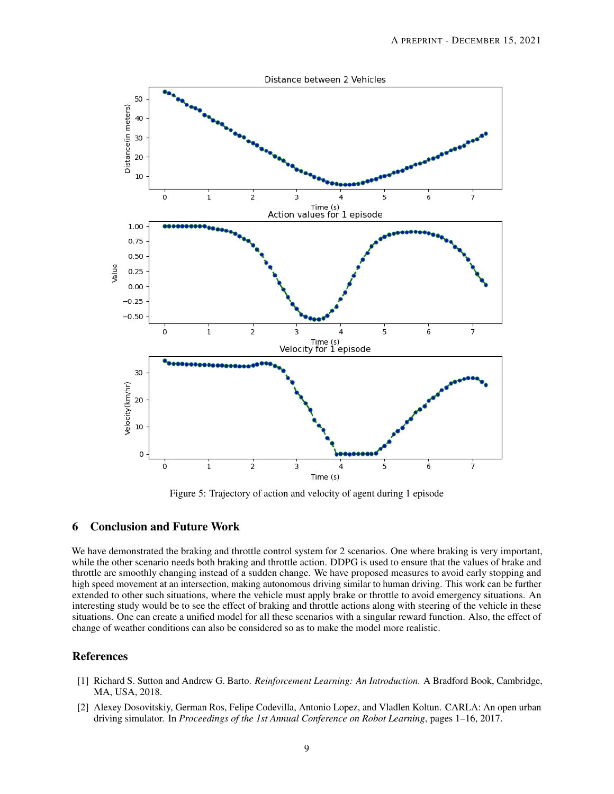<span id="page-8-2"></span>

Figure 5: Trajectory of action and velocity of agent during 1 episode

# 6 Conclusion and Future Work

We have demonstrated the braking and throttle control system for 2 scenarios. One where braking is very important, while the other scenario needs both braking and throttle action. DDPG is used to ensure that the values of brake and throttle are smoothly changing instead of a sudden change. We have proposed measures to avoid early stopping and high speed movement at an intersection, making autonomous driving similar to human driving. This work can be further extended to other such situations, where the vehicle must apply brake or throttle to avoid emergency situations. An interesting study would be to see the effect of braking and throttle actions along with steering of the vehicle in these situations. One can create a unified model for all these scenarios with a singular reward function. Also, the effect of change of weather conditions can also be considered so as to make the model more realistic.

# References

- <span id="page-8-0"></span>[1] Richard S. Sutton and Andrew G. Barto. *Reinforcement Learning: An Introduction*. A Bradford Book, Cambridge, MA, USA, 2018.
- <span id="page-8-1"></span>[2] Alexey Dosovitskiy, German Ros, Felipe Codevilla, Antonio Lopez, and Vladlen Koltun. CARLA: An open urban driving simulator. In *Proceedings of the 1st Annual Conference on Robot Learning*, pages 1–16, 2017.